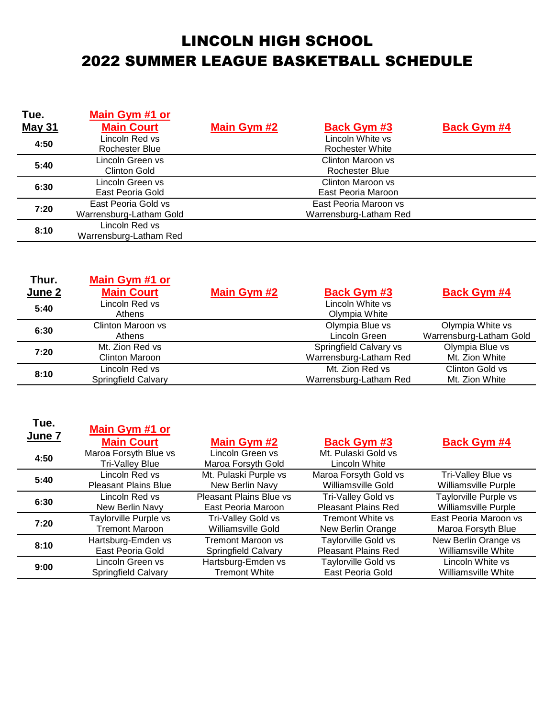## LINCOLN HIGH SCHOOL 2022 SUMMER LEAGUE BASKETBALL SCHEDULE

| Tue.          | Main Gym #1 or          |                                   |                    |
|---------------|-------------------------|-----------------------------------|--------------------|
| <b>May 31</b> | <b>Main Court</b>       | Main Gym #2<br><b>Back Gym #3</b> | <b>Back Gym #4</b> |
| 4:50          | Lincoln Red vs          | Lincoln White vs                  |                    |
|               | Rochester Blue          | <b>Rochester White</b>            |                    |
| 5:40          | Lincoln Green vs        | Clinton Maroon vs                 |                    |
|               | Clinton Gold            | Rochester Blue                    |                    |
| 6:30          | Lincoln Green vs        | Clinton Maroon vs                 |                    |
|               | East Peoria Gold        | East Peoria Maroon                |                    |
| 7:20          | East Peoria Gold vs     | East Peoria Maroon vs             |                    |
|               | Warrensburg-Latham Gold | Warrensburg-Latham Red            |                    |
| 8:10          | Lincoln Red vs          |                                   |                    |
|               | Warrensburg-Latham Red  |                                   |                    |

| Thur.<br>June 2 | Main Gym #1 or<br><b>Main Court</b>          | Main Gym #2 | <b>Back Gym #3</b>                               | <b>Back Gym #4</b>                          |
|-----------------|----------------------------------------------|-------------|--------------------------------------------------|---------------------------------------------|
| 5:40            | Lincoln Red vs<br>Athens                     |             | Lincoln White vs<br>Olympia White                |                                             |
| 6:30            | Clinton Maroon vs<br>Athens                  |             | Olympia Blue vs<br>Lincoln Green                 | Olympia White vs<br>Warrensburg-Latham Gold |
| 7:20            | Mt. Zion Red vs<br><b>Clinton Maroon</b>     |             | Springfield Calvary vs<br>Warrensburg-Latham Red | Olympia Blue vs<br>Mt. Zion White           |
| 8:10            | Lincoln Red vs<br><b>Springfield Calvary</b> |             | Mt. Zion Red vs<br>Warrensburg-Latham Red        | Clinton Gold vs<br>Mt. Zion White           |

| Tue.<br>June 7 | Main Gym #1 or<br><b>Main Court</b>             | <b>Main Gym #2</b>                     | <b>Back Gym #3</b>                   | <b>Back Gym #4</b>          |
|----------------|-------------------------------------------------|----------------------------------------|--------------------------------------|-----------------------------|
| 4:50           | Maroa Forsyth Blue vs<br><b>Tri-Valley Blue</b> | Lincoln Green vs<br>Maroa Forsyth Gold | Mt. Pulaski Gold vs<br>Lincoln White |                             |
| 5:40           | Lincoln Red vs                                  | Mt. Pulaski Purple vs                  | Maroa Forsyth Gold vs                | Tri-Valley Blue vs          |
|                | <b>Pleasant Plains Blue</b>                     | New Berlin Navy                        | Williamsville Gold                   | <b>Williamsville Purple</b> |
| 6:30           | Lincoln Red vs                                  | <b>Pleasant Plains Blue vs</b>         | <b>Tri-Valley Gold vs</b>            | Taylorville Purple vs       |
|                | New Berlin Navy                                 | East Peoria Maroon                     | <b>Pleasant Plains Red</b>           | Williamsville Purple        |
| 7:20           | Taylorville Purple vs                           | <b>Tri-Valley Gold vs</b>              | <b>Tremont White vs</b>              | East Peoria Maroon vs       |
|                | <b>Tremont Maroon</b>                           | Williamsville Gold                     | New Berlin Orange                    | Maroa Forsyth Blue          |
| 8:10           | Hartsburg-Emden vs                              | <b>Tremont Maroon vs</b>               | <b>Taylorville Gold vs</b>           | New Berlin Orange vs        |
|                | East Peoria Gold                                | <b>Springfield Calvary</b>             | <b>Pleasant Plains Red</b>           | Williamsville White         |
| 9:00           | Lincoln Green vs                                | Hartsburg-Emden vs                     | <b>Taylorville Gold vs</b>           | Lincoln White vs            |
|                | <b>Springfield Calvary</b>                      | <b>Tremont White</b>                   | East Peoria Gold                     | Williamsville White         |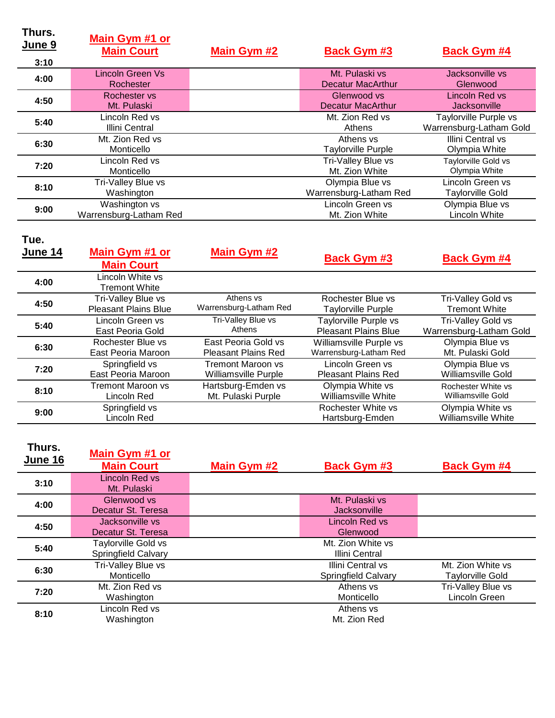| Thurs.<br>June 9<br>3:10 | Main Gym #1 or<br><b>Main Court</b>     | Main Gym #2 | <b>Back Gym #3</b>                        | <b>Back Gym #4</b>                               |
|--------------------------|-----------------------------------------|-------------|-------------------------------------------|--------------------------------------------------|
| 4:00                     | <b>Lincoln Green Vs</b><br>Rochester    |             | Mt. Pulaski vs<br>Decatur MacArthur       | Jacksonville vs<br>Glenwood                      |
| 4:50                     | Rochester vs<br>Mt. Pulaski             |             | Glenwood vs<br><b>Decatur MacArthur</b>   | Lincoln Red vs<br><b>Jacksonville</b>            |
| 5:40                     | Lincoln Red vs<br>Illini Central        |             | Mt. Zion Red vs<br>Athens                 | Taylorville Purple vs<br>Warrensburg-Latham Gold |
| 6:30                     | Mt. Zion Red vs<br>Monticello           |             | Athens vs<br><b>Taylorville Purple</b>    | Illini Central vs<br>Olympia White               |
| 7:20                     | Lincoln Red vs<br>Monticello            |             | Tri-Valley Blue vs<br>Mt. Zion White      | <b>Taylorville Gold vs</b><br>Olympia White      |
| 8:10                     | Tri-Valley Blue vs<br>Washington        |             | Olympia Blue vs<br>Warrensburg-Latham Red | Lincoln Green vs<br><b>Taylorville Gold</b>      |
| 9:00                     | Washington vs<br>Warrensburg-Latham Red |             | Lincoln Green vs<br>Mt. Zion White        | Olympia Blue vs<br><b>Lincoln White</b>          |

| Tue.<br>June 14 | Main Gym #1 or<br><b>Main Court</b> | Main Gym #2                 | <b>Back Gym #3</b>          | <b>Back Gym #4</b>        |
|-----------------|-------------------------------------|-----------------------------|-----------------------------|---------------------------|
| 4:00            | Lincoln White vs<br>Tremont White   |                             |                             |                           |
| 4:50            | Tri-Valley Blue vs                  | Athens vs                   | Rochester Blue vs           | Tri-Valley Gold vs        |
|                 | <b>Pleasant Plains Blue</b>         | Warrensburg-Latham Red      | Taylorville Purple          | <b>Tremont White</b>      |
| 5:40            | Lincoln Green vs                    | Tri-Valley Blue vs          | Taylorville Purple vs       | Tri-Valley Gold vs        |
|                 | East Peoria Gold                    | Athens                      | <b>Pleasant Plains Blue</b> | Warrensburg-Latham        |
| 6:30            | Rochester Blue vs                   | East Peoria Gold vs         | Williamsville Purple vs     | Olympia Blue vs           |
|                 | East Peoria Maroon                  | <b>Pleasant Plains Red</b>  | Warrensburg-Latham Red      | Mt. Pulaski Gold          |
| 7:20            | Springfield vs                      | Tremont Maroon vs           | Lincoln Green vs            | Olympia Blue vs           |
|                 | East Peoria Maroon                  | <b>Williamsville Purple</b> | <b>Pleasant Plains Red</b>  | <b>Williamsville Gold</b> |

| 5:40 | Lincoln Green vs   | Tri-Valley Blue vs         | Taylorville Purple vs       | <b>Tri-Valley Gold vs</b> |
|------|--------------------|----------------------------|-----------------------------|---------------------------|
|      | East Peoria Gold   | Athens                     | <b>Pleasant Plains Blue</b> | Warrensburg-Latham Gold   |
| 6:30 | Rochester Blue vs  | East Peoria Gold vs        | Williamsville Purple vs     | Olympia Blue vs           |
|      | East Peoria Maroon | <b>Pleasant Plains Red</b> | Warrensburg-Latham Red      | Mt. Pulaski Gold          |
| 7:20 | Springfield vs     | Tremont Maroon vs          | Lincoln Green vs            | Olympia Blue vs           |
|      | East Peoria Maroon | Williamsville Purple       | <b>Pleasant Plains Red</b>  | Williamsville Gold        |
|      | Tremont Maroon vs  | Hartsburg-Emden vs         | Olympia White vs            | Rochester White vs        |
| 8:10 | Lincoln Red        | Mt. Pulaski Purple         | Williamsville White         | Williamsville Gold        |
|      | Springfield vs     |                            | Rochester White vs          | Olympia White vs          |
| 9:00 | Lincoln Red        |                            | Hartsburg-Emden             | Williamsville White       |

| Thurs.<br><b>June 16</b> | Main Gym #1 or<br><b>Main Court</b>               | Main Gym #2 | <b>Back Gym #3</b>                              | <b>Back Gym #4</b>                    |
|--------------------------|---------------------------------------------------|-------------|-------------------------------------------------|---------------------------------------|
| 3:10                     | Lincoln Red vs<br>Mt. Pulaski                     |             |                                                 |                                       |
| 4:00                     | Glenwood vs<br>Decatur St. Teresa                 |             | Mt. Pulaski vs<br>Jacksonville                  |                                       |
| 4:50                     | Jacksonville vs<br>Decatur St. Teresa             |             | Lincoln Red vs<br>Glenwood                      |                                       |
| 5:40                     | <b>Taylorville Gold vs</b><br>Springfield Calvary |             | Mt. Zion White vs<br>Illini Central             |                                       |
| 6:30                     | Tri-Valley Blue vs<br>Monticello                  |             | Illini Central vs<br><b>Springfield Calvary</b> | Mt. Zion White vs<br>Taylorville Gold |
| 7:20                     | Mt. Zion Red vs<br>Washington                     |             | Athens vs<br>Monticello                         | Tri-Valley Blue vs<br>Lincoln Green   |
| 8:10                     | Lincoln Red vs<br>Washington                      |             | Athens vs<br>Mt. Zion Red                       |                                       |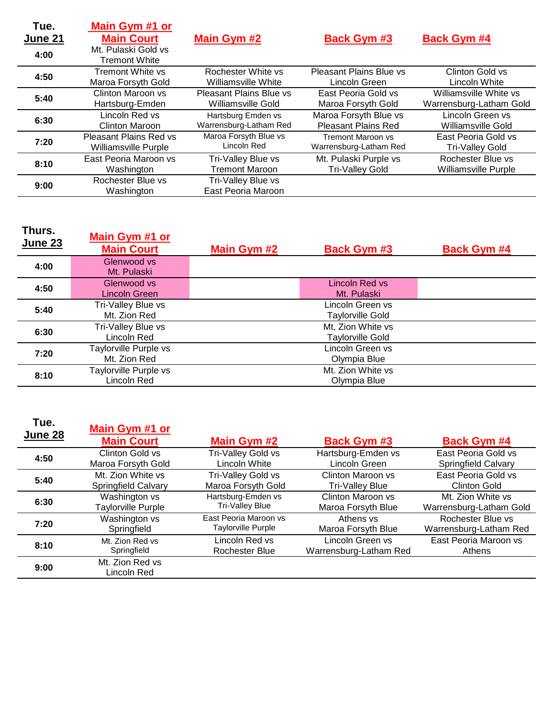| Tue.<br>June 21 | Main Gym #1 or<br><b>Main Court</b>         | Main Gym #2                              | <b>Back Gym #3</b>             | <b>Back Gym #4</b>      |
|-----------------|---------------------------------------------|------------------------------------------|--------------------------------|-------------------------|
| 4:00            | Mt. Pulaski Gold vs<br><b>Tremont White</b> |                                          |                                |                         |
| 4:50            | <b>Tremont White vs</b>                     | Rochester White vs                       | <b>Pleasant Plains Blue vs</b> | Clinton Gold vs         |
|                 | Maroa Forsyth Gold                          | Williamsville White                      | Lincoln Green                  | Lincoln White           |
| 5:40            | Clinton Maroon vs                           | <b>Pleasant Plains Blue vs</b>           | East Peoria Gold vs            | Williamsville White vs  |
|                 | Hartsburg-Emden                             | Williamsville Gold                       | Maroa Forsyth Gold             | Warrensburg-Latham Gold |
| 6:30            | Lincoln Red vs                              | Hartsburg Emden vs                       | Maroa Forsyth Blue vs          | Lincoln Green vs        |
|                 | Clinton Maroon                              | Warrensburg-Latham Red                   | <b>Pleasant Plains Red</b>     | Williamsville Gold      |
| 7:20            | <b>Pleasant Plains Red vs</b>               | Maroa Forsyth Blue vs                    | <b>Tremont Maroon vs</b>       | East Peoria Gold vs     |
|                 | <b>Williamsville Purple</b>                 | Lincoln Red                              | Warrensburg-Latham Red         | <b>Tri-Valley Gold</b>  |
| 8:10            | East Peoria Maroon vs                       | Tri-Valley Blue vs                       | Mt. Pulaski Purple vs          | Rochester Blue vs       |
|                 | Washington                                  | <b>Tremont Maroon</b>                    | <b>Tri-Valley Gold</b>         | Williamsville Purple    |
| 9:00            | Rochester Blue vs<br>Washington             | Tri-Valley Blue vs<br>East Peoria Maroon |                                |                         |

| Thurs.<br><b>June 23</b> | <b>Main Gym #1 or</b><br><b>Main Court</b> | Main Gym #2 | <b>Back Gym #3</b>                           | <b>Back Gym #4</b> |
|--------------------------|--------------------------------------------|-------------|----------------------------------------------|--------------------|
| 4:00                     | Glenwood vs<br>Mt. Pulaski                 |             |                                              |                    |
| 4:50                     | Glenwood vs<br>Lincoln Green               |             | Lincoln Red vs<br>Mt. Pulaski                |                    |
| 5:40                     | Tri-Valley Blue vs<br>Mt. Zion Red         |             | Lincoln Green vs<br><b>Taylorville Gold</b>  |                    |
| 6:30                     | Tri-Valley Blue vs<br>Lincoln Red          |             | Mt, Zion White vs<br><b>Taylorville Gold</b> |                    |
| 7:20                     | Taylorville Purple vs<br>Mt. Zion Red      |             | Lincoln Green vs<br>Olympia Blue             |                    |
| 8:10                     | Taylorville Purple vs<br>Lincoln Red       |             | Mt. Zion White vs<br>Olympia Blue            |                    |

| Tue.<br>June 28 | <b>Main Gym #1 or</b><br><b>Main Court</b> | Main Gym #2            | <b>Back Gym #3</b>     | <b>Back Gym #4</b>         |
|-----------------|--------------------------------------------|------------------------|------------------------|----------------------------|
| 4:50            | Clinton Gold vs                            | Tri-Valley Gold vs     | Hartsburg-Emden vs     | East Peoria Gold vs        |
|                 | Maroa Forsyth Gold                         | Lincoln White          | Lincoln Green          | <b>Springfield Calvary</b> |
| 5:40            | Mt. Zion White vs                          | Tri-Valley Gold vs     | Clinton Maroon vs      | East Peoria Gold vs        |
|                 | <b>Springfield Calvary</b>                 | Maroa Forsyth Gold     | <b>Tri-Valley Blue</b> | <b>Clinton Gold</b>        |
| 6:30            | Washington vs                              | Hartsburg-Emden vs     | Clinton Maroon vs      | Mt. Zion White vs.         |
|                 | <b>Taylorville Purple</b>                  | <b>Tri-Valley Blue</b> | Maroa Forsyth Blue     | Warrensburg-Latham Gold    |
| 7:20            | Washington vs                              | East Peoria Maroon vs  | Athens vs              | Rochester Blue vs          |
|                 | Springfield                                | Taylorville Purple     | Maroa Forsyth Blue     | Warrensburg-Latham Red     |
| 8:10            | Mt. Zion Red vs.                           | Lincoln Red vs         | Lincoln Green vs       | East Peoria Maroon vs      |
|                 | Springfield                                | <b>Rochester Blue</b>  | Warrensburg-Latham Red | Athens                     |
| 9:00            | Mt. Zion Red vs<br>Lincoln Red             |                        |                        |                            |